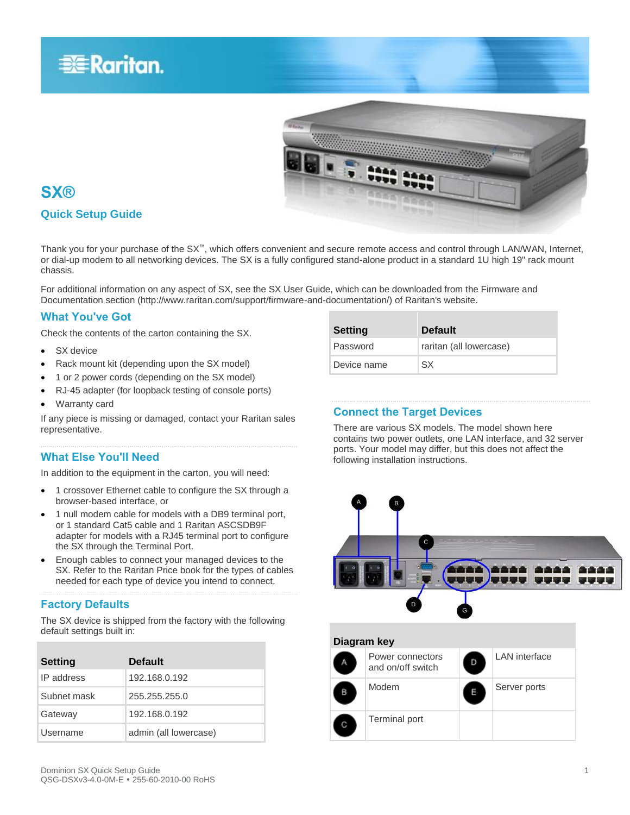



### **SX®**

### **Quick Setup Guide**

Thank you for your purchase of the SX<sup>™</sup>, which offers convenient and secure remote access and control through LAN/WAN, Internet, or dial-up modem to all networking devices. The SX is a fully configured stand-alone product in a standard 1U high 19" rack mount chassis.

For additional information on any aspect of SX, see the SX User Guide, which can be downloaded from the Firmware and Documentation section (http://www.raritan.com/support/firmware-and-documentation/) of Raritan's website.

### **What You've Got**

Check the contents of the carton containing the SX.

- SX device
- Rack mount kit (depending upon the SX model)
- 1 or 2 power cords (depending on the SX model)
- RJ-45 adapter (for loopback testing of console ports)
- Warranty card

If any piece is missing or damaged, contact your Raritan sales representative.

### **What Else You'll Need**

In addition to the equipment in the carton, you will need:

- 1 crossover Ethernet cable to configure the SX through a browser-based interface, or
- 1 null modem cable for models with a DB9 terminal port, or 1 standard Cat5 cable and 1 Raritan ASCSDB9F adapter for models with a RJ45 terminal port to configure the SX through the Terminal Port.
- Enough cables to connect your managed devices to the SX. Refer to the Raritan Price book for the types of cables needed for each type of device you intend to connect.

### **Factory Defaults**

The SX device is shipped from the factory with the following default settings built in:

| <b>Setting</b> | <b>Default</b>        |
|----------------|-----------------------|
| IP address     | 192.168.0.192         |
| Subnet mask    | 255.255.255.0         |
| Gateway        | 192.168.0.192         |
| Username       | admin (all lowercase) |

| Password    | raritan (all lowercase) |
|-------------|-------------------------|
| Device name | SX                      |
|             |                         |
|             |                         |

### **Connect the Target Devices**

**Setting Default**

There are various SX models. The model shown here contains two power outlets, one LAN interface, and 32 server ports. Your model may differ, but this does not affect the following installation instructions.

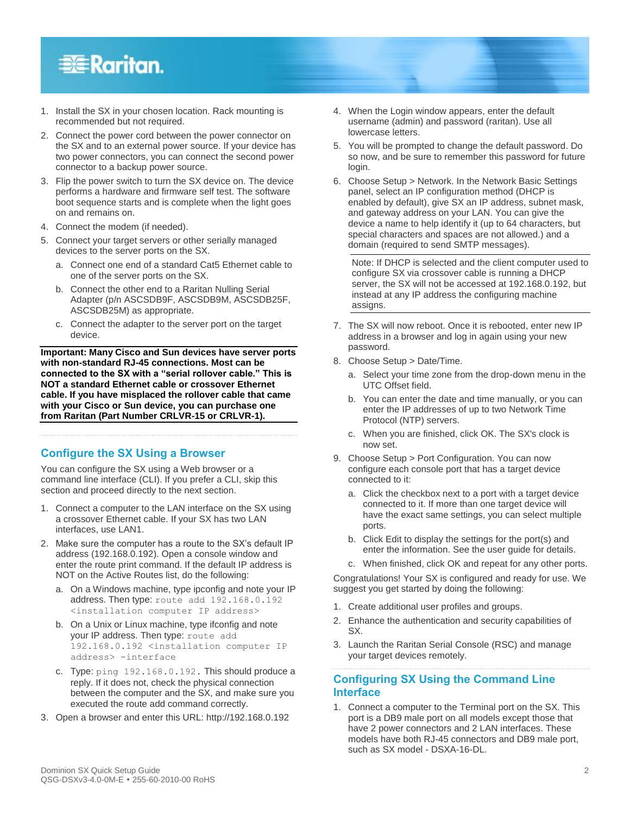## **EXERGritan**.

- 1. Install the SX in your chosen location. Rack mounting is recommended but not required.
- 2. Connect the power cord between the power connector on the SX and to an external power source. If your device has two power connectors, you can connect the second power connector to a backup power source.
- 3. Flip the power switch to turn the SX device on. The device performs a hardware and firmware self test. The software boot sequence starts and is complete when the light goes on and remains on.
- 4. Connect the modem (if needed).
- 5. Connect your target servers or other serially managed devices to the server ports on the SX.
	- a. Connect one end of a standard Cat5 Ethernet cable to one of the server ports on the SX.
	- b. Connect the other end to a Raritan Nulling Serial Adapter (p/n ASCSDB9F, ASCSDB9M, ASCSDB25F, ASCSDB25M) as appropriate.
	- c. Connect the adapter to the server port on the target device.

**Important: Many Cisco and Sun devices have server ports with non-standard RJ-45 connections. Most can be connected to the SX with a "serial rollover cable." This is NOT a standard Ethernet cable or crossover Ethernet cable. If you have misplaced the rollover cable that came with your Cisco or Sun device, you can purchase one from Raritan (Part Number CRLVR-15 or CRLVR-1).**

### **Configure the SX Using a Browser**

You can configure the SX using a Web browser or a command line interface (CLI). If you prefer a CLI, skip this section and proceed directly to the next section.

- 1. Connect a computer to the LAN interface on the SX using a crossover Ethernet cable. If your SX has two LAN interfaces, use LAN1.
- 2. Make sure the computer has a route to the SX's default IP address (192.168.0.192). Open a console window and enter the route print command. If the default IP address is NOT on the Active Routes list, do the following:
	- a. On a Windows machine, type ipconfig and note your IP address. Then type: route add 192.168.0.192 <installation computer IP address>
	- b. On a Unix or Linux machine, type ifconfig and note your IP address. Then type: route add .<br>192.168.0.192 <installation computer IP address> -interface
	- c. Type: ping 192.168.0.192. This should produce a reply. If it does not, check the physical connection between the computer and the SX, and make sure you executed the route add command correctly.
- 3. Open a browser and enter this URL: http://192.168.0.192
- 4. When the Login window appears, enter the default username (admin) and password (raritan). Use all lowercase letters.
- 5. You will be prompted to change the default password. Do so now, and be sure to remember this password for future login.
- 6. Choose Setup > Network. In the Network Basic Settings panel, select an IP configuration method (DHCP is enabled by default), give SX an IP address, subnet mask, and gateway address on your LAN. You can give the device a name to help identify it (up to 64 characters, but special characters and spaces are not allowed.) and a domain (required to send SMTP messages).

Note: If DHCP is selected and the client computer used to configure SX via crossover cable is running a DHCP server, the SX will not be accessed at 192.168.0.192, but instead at any IP address the configuring machine assigns.

- 7. The SX will now reboot. Once it is rebooted, enter new IP address in a browser and log in again using your new password.
- 8. Choose Setup > Date/Time.
	- a. Select your time zone from the drop-down menu in the UTC Offset field.
	- b. You can enter the date and time manually, or you can enter the IP addresses of up to two Network Time Protocol (NTP) servers.
	- c. When you are finished, click OK. The SX's clock is now set.
- 9. Choose Setup > Port Configuration. You can now configure each console port that has a target device connected to it:
	- a. Click the checkbox next to a port with a target device connected to it. If more than one target device will have the exact same settings, you can select multiple ports.
	- b. Click Edit to display the settings for the port(s) and enter the information. See the user guide for details.
	- c. When finished, click OK and repeat for any other ports.

Congratulations! Your SX is configured and ready for use. We suggest you get started by doing the following:

- 1. Create additional user profiles and groups.
- 2. Enhance the authentication and security capabilities of SX.
- 3. Launch the Raritan Serial Console (RSC) and manage your target devices remotely.

### **Configuring SX Using the Command Line Interface**

1. Connect a computer to the Terminal port on the SX. This port is a DB9 male port on all models except those that have 2 power connectors and 2 LAN interfaces. These models have both RJ-45 connectors and DB9 male port, such as SX model - DSXA-16-DL.